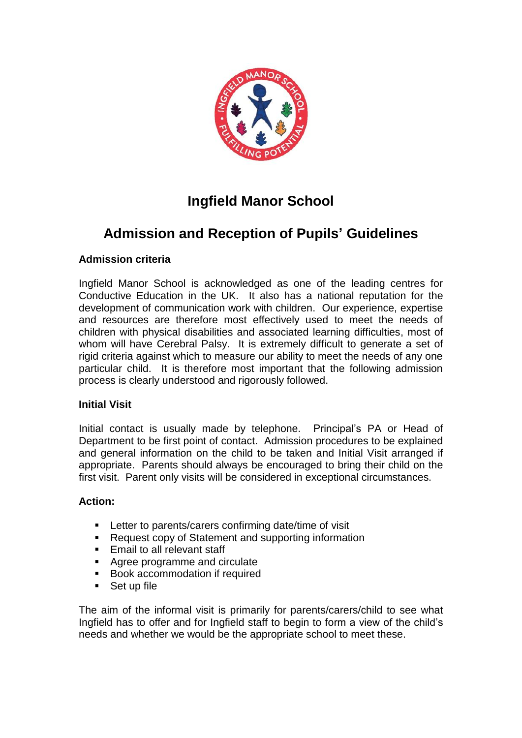

# **Ingfield Manor School**

## **Admission and Reception of Pupils' Guidelines**

## **Admission criteria**

Ingfield Manor School is acknowledged as one of the leading centres for Conductive Education in the UK. It also has a national reputation for the development of communication work with children. Our experience, expertise and resources are therefore most effectively used to meet the needs of children with physical disabilities and associated learning difficulties, most of whom will have Cerebral Palsy. It is extremely difficult to generate a set of rigid criteria against which to measure our ability to meet the needs of any one particular child. It is therefore most important that the following admission process is clearly understood and rigorously followed.

### **Initial Visit**

Initial contact is usually made by telephone. Principal's PA or Head of Department to be first point of contact. Admission procedures to be explained and general information on the child to be taken and Initial Visit arranged if appropriate. Parents should always be encouraged to bring their child on the first visit. Parent only visits will be considered in exceptional circumstances.

### **Action:**

- Letter to parents/carers confirming date/time of visit
- Request copy of Statement and supporting information
- Email to all relevant staff
- Agree programme and circulate
- Book accommodation if required
- Set up file

The aim of the informal visit is primarily for parents/carers/child to see what Ingfield has to offer and for Ingfield staff to begin to form a view of the child's needs and whether we would be the appropriate school to meet these.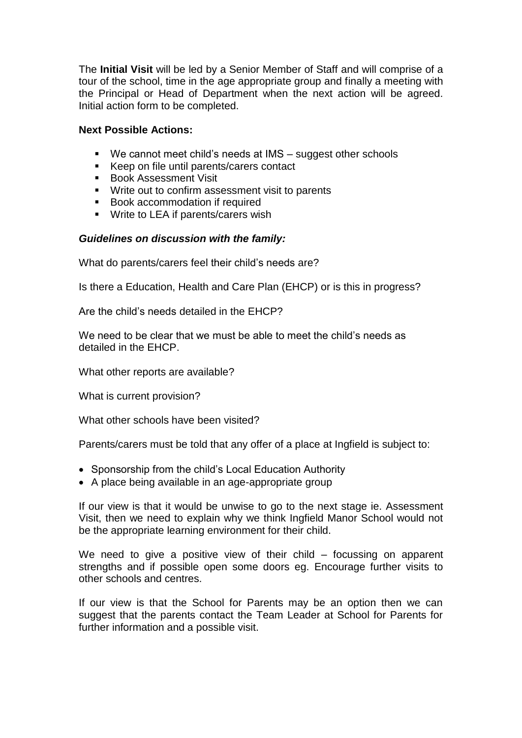The **Initial Visit** will be led by a Senior Member of Staff and will comprise of a tour of the school, time in the age appropriate group and finally a meeting with the Principal or Head of Department when the next action will be agreed. Initial action form to be completed.

#### **Next Possible Actions:**

- We cannot meet child's needs at IMS suggest other schools
- Keep on file until parents/carers contact
- Book Assessment Visit
- Write out to confirm assessment visit to parents
- Book accommodation if required
- Write to LEA if parents/carers wish

#### *Guidelines on discussion with the family:*

What do parents/carers feel their child's needs are?

Is there a Education, Health and Care Plan (EHCP) or is this in progress?

Are the child's needs detailed in the EHCP?

We need to be clear that we must be able to meet the child's needs as detailed in the EHCP.

What other reports are available?

What is current provision?

What other schools have been visited?

Parents/carers must be told that any offer of a place at Ingfield is subject to:

- Sponsorship from the child's Local Education Authority
- A place being available in an age-appropriate group

If our view is that it would be unwise to go to the next stage ie. Assessment Visit, then we need to explain why we think Ingfield Manor School would not be the appropriate learning environment for their child.

We need to give a positive view of their child – focussing on apparent strengths and if possible open some doors eg. Encourage further visits to other schools and centres.

If our view is that the School for Parents may be an option then we can suggest that the parents contact the Team Leader at School for Parents for further information and a possible visit.